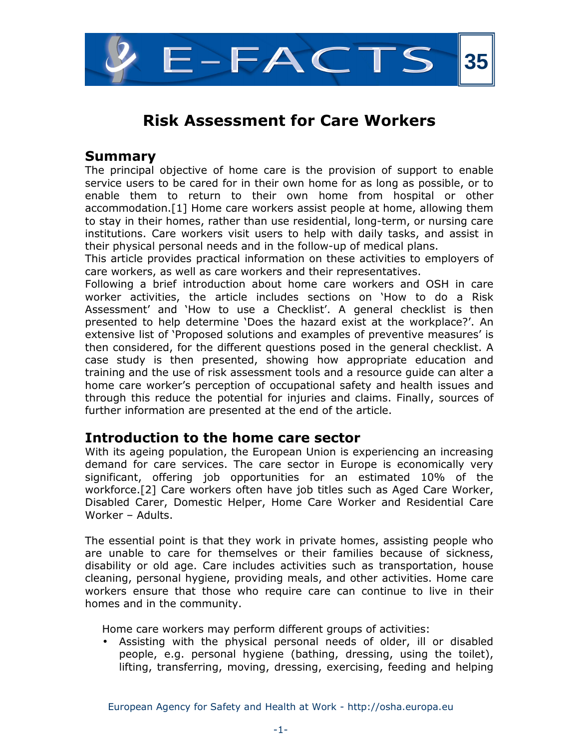

## Summary

The principal objective of home care is the provision of support to enable service users to be cared for in their own home for as long as possible, or to enable them to return to their own home from hospital or other accommodation.[1] Home care workers assist people at home, allowing them to stay in their homes, rather than use residential, long-term, or nursing care institutions. Care workers visit users to help with daily tasks, and assist in their physical personal needs and in the follow-up of medical plans.

This article provides practical information on these activities to employers of care workers, as well as care workers and their representatives.

Following a brief introduction about home care workers and OSH in care worker activities, the article includes sections on 'How to do a Risk Assessment' and 'How to use a Checklist'. A general checklist is then presented to help determine 'Does the hazard exist at the workplace?'. An extensive list of 'Proposed solutions and examples of preventive measures' is then considered, for the different questions posed in the general checklist. A case study is then presented, showing how appropriate education and training and the use of risk assessment tools and a resource guide can alter a home care worker's perception of occupational safety and health issues and through this reduce the potential for injuries and claims. Finally, sources of further information are presented at the end of the article.

## Introduction to the home care sector

With its ageing population, the European Union is experiencing an increasing demand for care services. The care sector in Europe is economically very significant, offering job opportunities for an estimated 10% of the workforce.[2] Care workers often have job titles such as Aged Care Worker, Disabled Carer, Domestic Helper, Home Care Worker and Residential Care Worker – Adults.

The essential point is that they work in private homes, assisting people who are unable to care for themselves or their families because of sickness, disability or old age. Care includes activities such as transportation, house cleaning, personal hygiene, providing meals, and other activities. Home care workers ensure that those who require care can continue to live in their homes and in the community.

Home care workers may perform different groups of activities:

• Assisting with the physical personal needs of older, ill or disabled people, e.g. personal hygiene (bathing, dressing, using the toilet), lifting, transferring, moving, dressing, exercising, feeding and helping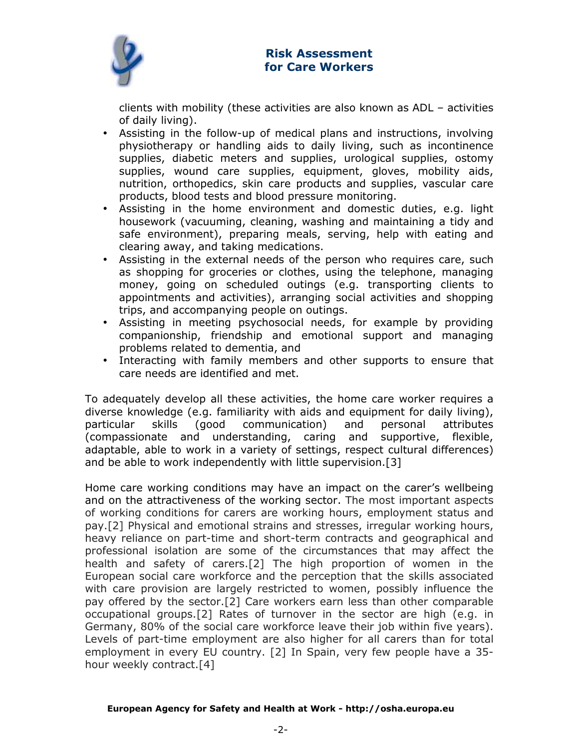

clients with mobility (these activities are also known as ADL – activities of daily living).

- Assisting in the follow-up of medical plans and instructions, involving physiotherapy or handling aids to daily living, such as incontinence supplies, diabetic meters and supplies, urological supplies, ostomy supplies, wound care supplies, equipment, gloves, mobility aids, nutrition, orthopedics, skin care products and supplies, vascular care products, blood tests and blood pressure monitoring.
- Assisting in the home environment and domestic duties, e.g. light housework (vacuuming, cleaning, washing and maintaining a tidy and safe environment), preparing meals, serving, help with eating and clearing away, and taking medications.
- Assisting in the external needs of the person who requires care, such as shopping for groceries or clothes, using the telephone, managing money, going on scheduled outings (e.g. transporting clients to appointments and activities), arranging social activities and shopping trips, and accompanying people on outings.
- Assisting in meeting psychosocial needs, for example by providing companionship, friendship and emotional support and managing problems related to dementia, and
- Interacting with family members and other supports to ensure that care needs are identified and met.

To adequately develop all these activities, the home care worker requires a diverse knowledge (e.g. familiarity with aids and equipment for daily living), particular skills (good communication) and personal attributes (compassionate and understanding, caring and supportive, flexible, adaptable, able to work in a variety of settings, respect cultural differences) and be able to work independently with little supervision.[3]

Home care working conditions may have an impact on the carer's wellbeing and on the attractiveness of the working sector. The most important aspects of working conditions for carers are working hours, employment status and pay.[2] Physical and emotional strains and stresses, irregular working hours, heavy reliance on part-time and short-term contracts and geographical and professional isolation are some of the circumstances that may affect the health and safety of carers.[2] The high proportion of women in the European social care workforce and the perception that the skills associated with care provision are largely restricted to women, possibly influence the pay offered by the sector.[2] Care workers earn less than other comparable occupational groups.[2] Rates of turnover in the sector are high (e.g. in Germany, 80% of the social care workforce leave their job within five years). Levels of part-time employment are also higher for all carers than for total employment in every EU country. [2] In Spain, very few people have a 35 hour weekly contract.[4]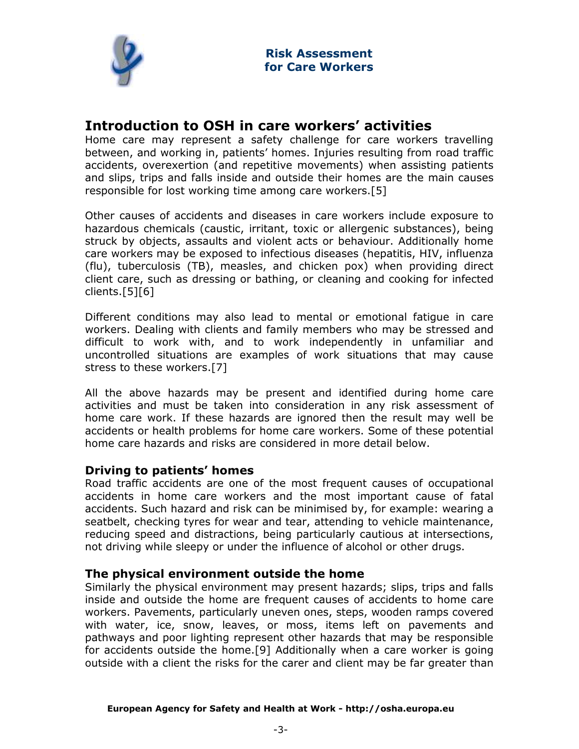

# Introduction to OSH in care workers' activities

Home care may represent a safety challenge for care workers travelling between, and working in, patients' homes. Injuries resulting from road traffic accidents, overexertion (and repetitive movements) when assisting patients and slips, trips and falls inside and outside their homes are the main causes responsible for lost working time among care workers.[5]

Other causes of accidents and diseases in care workers include exposure to hazardous chemicals (caustic, irritant, toxic or allergenic substances), being struck by objects, assaults and violent acts or behaviour. Additionally home care workers may be exposed to infectious diseases (hepatitis, HIV, influenza (flu), tuberculosis (TB), measles, and chicken pox) when providing direct client care, such as dressing or bathing, or cleaning and cooking for infected clients.[5][6]

Different conditions may also lead to mental or emotional fatigue in care workers. Dealing with clients and family members who may be stressed and difficult to work with, and to work independently in unfamiliar and uncontrolled situations are examples of work situations that may cause stress to these workers.[7]

All the above hazards may be present and identified during home care activities and must be taken into consideration in any risk assessment of home care work. If these hazards are ignored then the result may well be accidents or health problems for home care workers. Some of these potential home care hazards and risks are considered in more detail below.

## Driving to patients' homes

Road traffic accidents are one of the most frequent causes of occupational accidents in home care workers and the most important cause of fatal accidents. Such hazard and risk can be minimised by, for example: wearing a seatbelt, checking tyres for wear and tear, attending to vehicle maintenance, reducing speed and distractions, being particularly cautious at intersections, not driving while sleepy or under the influence of alcohol or other drugs.

## The physical environment outside the home

Similarly the physical environment may present hazards; slips, trips and falls inside and outside the home are frequent causes of accidents to home care workers. Pavements, particularly uneven ones, steps, wooden ramps covered with water, ice, snow, leaves, or moss, items left on pavements and pathways and poor lighting represent other hazards that may be responsible for accidents outside the home.[9] Additionally when a care worker is going outside with a client the risks for the carer and client may be far greater than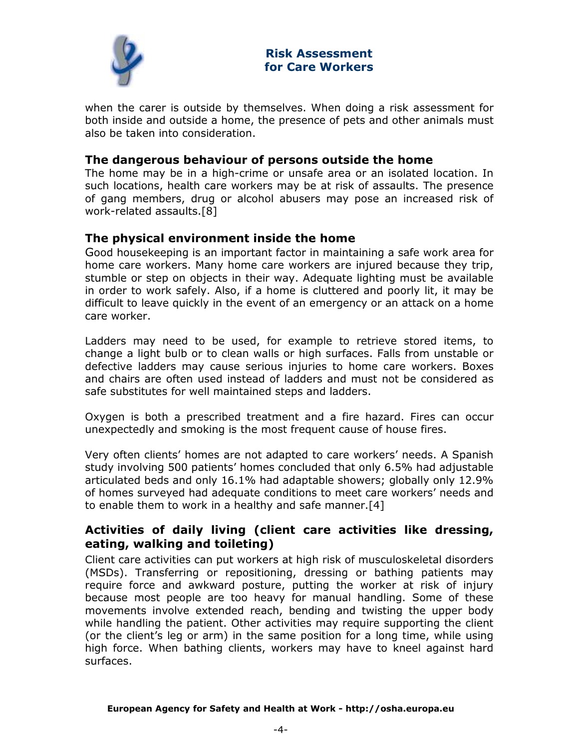

when the carer is outside by themselves. When doing a risk assessment for both inside and outside a home, the presence of pets and other animals must also be taken into consideration.

## The dangerous behaviour of persons outside the home

The home may be in a high-crime or unsafe area or an isolated location. In such locations, health care workers may be at risk of assaults. The presence of gang members, drug or alcohol abusers may pose an increased risk of work-related assaults.[8]

## The physical environment inside the home

Good housekeeping is an important factor in maintaining a safe work area for home care workers. Many home care workers are injured because they trip, stumble or step on objects in their way. Adequate lighting must be available in order to work safely. Also, if a home is cluttered and poorly lit, it may be difficult to leave quickly in the event of an emergency or an attack on a home care worker.

Ladders may need to be used, for example to retrieve stored items, to change a light bulb or to clean walls or high surfaces. Falls from unstable or defective ladders may cause serious injuries to home care workers. Boxes and chairs are often used instead of ladders and must not be considered as safe substitutes for well maintained steps and ladders.

Oxygen is both a prescribed treatment and a fire hazard. Fires can occur unexpectedly and smoking is the most frequent cause of house fires.

Very often clients' homes are not adapted to care workers' needs. A Spanish study involving 500 patients' homes concluded that only 6.5% had adjustable articulated beds and only 16.1% had adaptable showers; globally only 12.9% of homes surveyed had adequate conditions to meet care workers' needs and to enable them to work in a healthy and safe manner.[4]

## Activities of daily living (client care activities like dressing, eating, walking and toileting)

Client care activities can put workers at high risk of musculoskeletal disorders (MSDs). Transferring or repositioning, dressing or bathing patients may require force and awkward posture, putting the worker at risk of injury because most people are too heavy for manual handling. Some of these movements involve extended reach, bending and twisting the upper body while handling the patient. Other activities may require supporting the client (or the client's leg or arm) in the same position for a long time, while using high force. When bathing clients, workers may have to kneel against hard surfaces.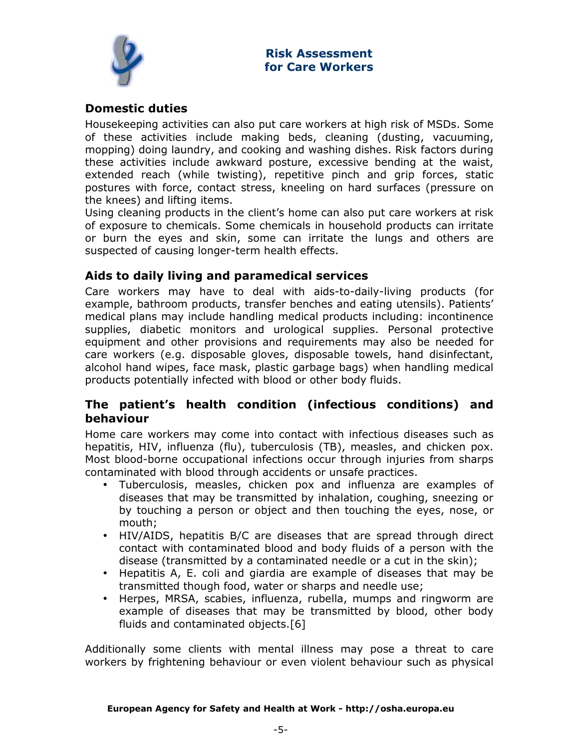

## Domestic duties

Housekeeping activities can also put care workers at high risk of MSDs. Some of these activities include making beds, cleaning (dusting, vacuuming, mopping) doing laundry, and cooking and washing dishes. Risk factors during these activities include awkward posture, excessive bending at the waist, extended reach (while twisting), repetitive pinch and grip forces, static postures with force, contact stress, kneeling on hard surfaces (pressure on the knees) and lifting items.

Using cleaning products in the client's home can also put care workers at risk of exposure to chemicals. Some chemicals in household products can irritate or burn the eyes and skin, some can irritate the lungs and others are suspected of causing longer-term health effects.

## Aids to daily living and paramedical services

Care workers may have to deal with aids-to-daily-living products (for example, bathroom products, transfer benches and eating utensils). Patients' medical plans may include handling medical products including: incontinence supplies, diabetic monitors and urological supplies. Personal protective equipment and other provisions and requirements may also be needed for care workers (e.g. disposable gloves, disposable towels, hand disinfectant, alcohol hand wipes, face mask, plastic garbage bags) when handling medical products potentially infected with blood or other body fluids.

## The patient's health condition (infectious conditions) and behaviour

Home care workers may come into contact with infectious diseases such as hepatitis, HIV, influenza (flu), tuberculosis (TB), measles, and chicken pox. Most blood-borne occupational infections occur through injuries from sharps contaminated with blood through accidents or unsafe practices.

- Tuberculosis, measles, chicken pox and influenza are examples of diseases that may be transmitted by inhalation, coughing, sneezing or by touching a person or object and then touching the eyes, nose, or mouth;
- HIV/AIDS, hepatitis B/C are diseases that are spread through direct contact with contaminated blood and body fluids of a person with the disease (transmitted by a contaminated needle or a cut in the skin);
- Hepatitis A, E. coli and giardia are example of diseases that may be transmitted though food, water or sharps and needle use;
- Herpes, MRSA, scabies, influenza, rubella, mumps and ringworm are example of diseases that may be transmitted by blood, other body fluids and contaminated objects.[6]

Additionally some clients with mental illness may pose a threat to care workers by frightening behaviour or even violent behaviour such as physical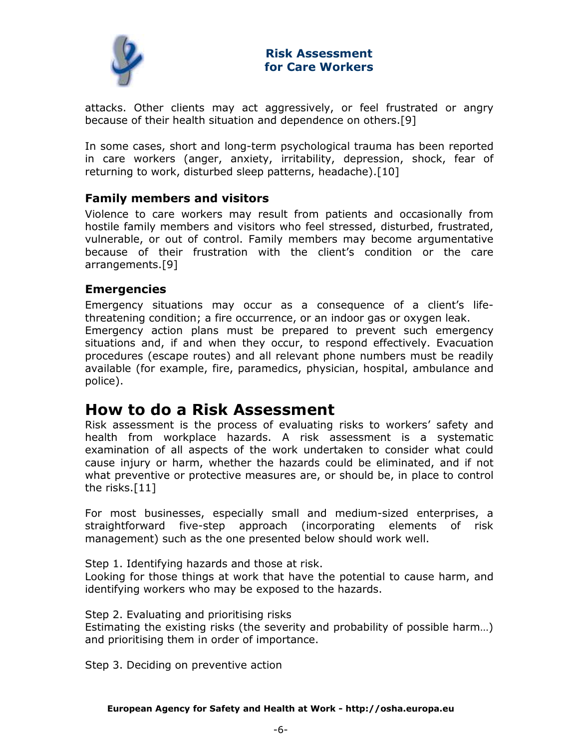

attacks. Other clients may act aggressively, or feel frustrated or angry because of their health situation and dependence on others.[9]

In some cases, short and long-term psychological trauma has been reported in care workers (anger, anxiety, irritability, depression, shock, fear of returning to work, disturbed sleep patterns, headache).[10]

## Family members and visitors

Violence to care workers may result from patients and occasionally from hostile family members and visitors who feel stressed, disturbed, frustrated, vulnerable, or out of control. Family members may become argumentative because of their frustration with the client's condition or the care arrangements.[9]

## Emergencies

Emergency situations may occur as a consequence of a client's lifethreatening condition; a fire occurrence, or an indoor gas or oxygen leak. Emergency action plans must be prepared to prevent such emergency situations and, if and when they occur, to respond effectively. Evacuation procedures (escape routes) and all relevant phone numbers must be readily available (for example, fire, paramedics, physician, hospital, ambulance and police).

# How to do a Risk Assessment

Risk assessment is the process of evaluating risks to workers' safety and health from workplace hazards. A risk assessment is a systematic examination of all aspects of the work undertaken to consider what could cause injury or harm, whether the hazards could be eliminated, and if not what preventive or protective measures are, or should be, in place to control the risks.[11]

For most businesses, especially small and medium-sized enterprises, a straightforward five-step approach (incorporating elements of risk management) such as the one presented below should work well.

Step 1. Identifying hazards and those at risk.

Looking for those things at work that have the potential to cause harm, and identifying workers who may be exposed to the hazards.

Step 2. Evaluating and prioritising risks

Estimating the existing risks (the severity and probability of possible harm…) and prioritising them in order of importance.

Step 3. Deciding on preventive action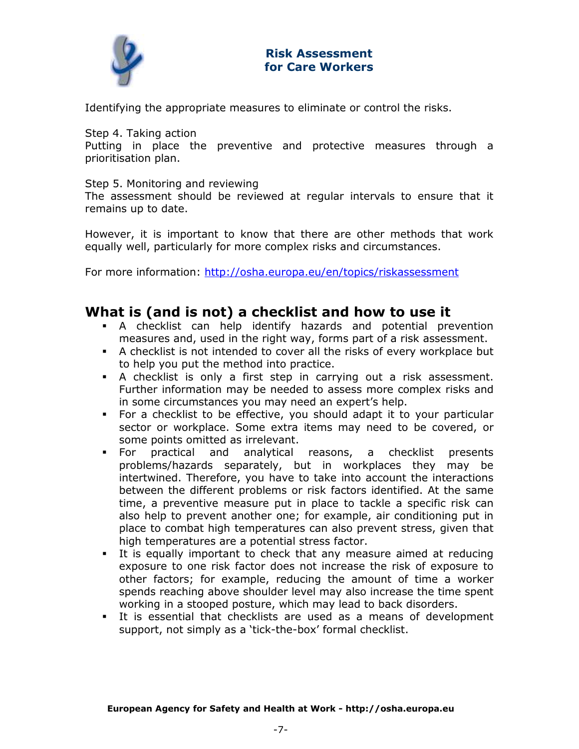

Identifying the appropriate measures to eliminate or control the risks.

Step 4. Taking action

Putting in place the preventive and protective measures through a prioritisation plan.

Step 5. Monitoring and reviewing

The assessment should be reviewed at regular intervals to ensure that it remains up to date.

However, it is important to know that there are other methods that work equally well, particularly for more complex risks and circumstances.

For more information: http://osha.europa.eu/en/topics/riskassessment

## What is (and is not) a checklist and how to use it

- A checklist can help identify hazards and potential prevention measures and, used in the right way, forms part of a risk assessment.
- A checklist is not intended to cover all the risks of every workplace but to help you put the method into practice.
- A checklist is only a first step in carrying out a risk assessment. Further information may be needed to assess more complex risks and in some circumstances you may need an expert's help.
- For a checklist to be effective, you should adapt it to your particular sector or workplace. Some extra items may need to be covered, or some points omitted as irrelevant.
- For practical and analytical reasons, a checklist presents problems/hazards separately, but in workplaces they may be intertwined. Therefore, you have to take into account the interactions between the different problems or risk factors identified. At the same time, a preventive measure put in place to tackle a specific risk can also help to prevent another one; for example, air conditioning put in place to combat high temperatures can also prevent stress, given that high temperatures are a potential stress factor.
- It is equally important to check that any measure aimed at reducing exposure to one risk factor does not increase the risk of exposure to other factors; for example, reducing the amount of time a worker spends reaching above shoulder level may also increase the time spent working in a stooped posture, which may lead to back disorders.
- It is essential that checklists are used as a means of development support, not simply as a 'tick-the-box' formal checklist.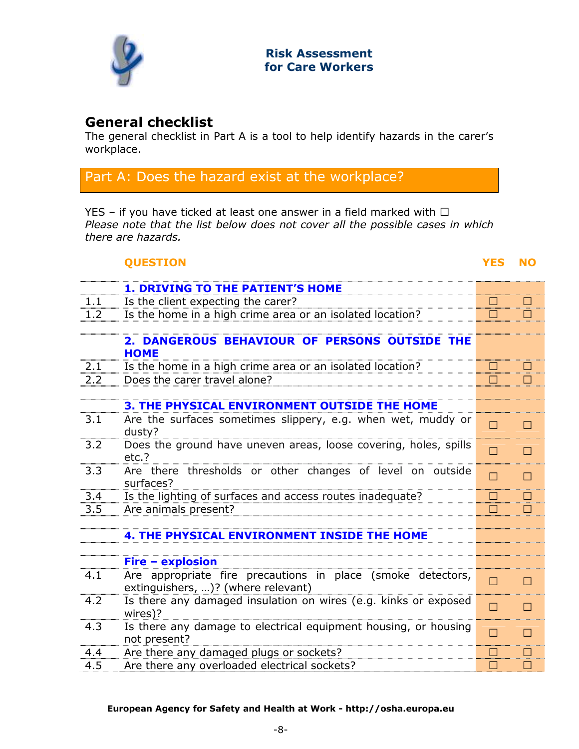

## General checklist

The general checklist in Part A is a tool to help identify hazards in the carer's workplace.

## Part A: Does the hazard exist at the workplace?

YES – if you have ticked at least one answer in a field marked with J Please note that the list below does not cover all the possible cases in which there are hazards.

## QUESTION YES NO

| Is the client expecting the carer?<br>1.1<br>J<br>J<br>Is the home in a high crime area or an isolated location?<br>1.2<br>J<br>J<br>2. DANGEROUS BEHAVIOUR OF PERSONS OUTSIDE THE<br><b>HOME</b><br>2.1<br>Is the home in a high crime area or an isolated location?<br>J<br>2.2<br>Does the carer travel alone?<br>J<br><b>3. THE PHYSICAL ENVIRONMENT OUTSIDE THE HOME</b><br>3.1<br>Are the surfaces sometimes slippery, e.g. when wet, muddy or<br>J<br>J<br>dusty?<br>3.2<br>Does the ground have uneven areas, loose covering, holes, spills<br>J<br>J<br>etc.?<br>3.3<br>Are there thresholds or other changes of level on outside<br>J.<br>J<br>surfaces?<br>$\overline{3.4}$<br>Is the lighting of surfaces and access routes inadequate?<br>J<br><u>ل</u><br>Are animals present?<br>3.5<br>J<br><b>4. THE PHYSICAL ENVIRONMENT INSIDE THE HOME</b><br>Fire - explosion<br>Are appropriate fire precautions in place (smoke detectors,<br>4.1<br>$\mathbf{J}$<br>$\overline{\mathsf{J}}$<br>extinguishers, )? (where relevant)<br>Is there any damaged insulation on wires (e.g. kinks or exposed<br>4.2<br>$\overline{\mathsf{J}}$<br>J<br>wires)?<br>4.3 | <b>1. DRIVING TO THE PATIENT'S HOME</b>                         |                |   |
|-----------------------------------------------------------------------------------------------------------------------------------------------------------------------------------------------------------------------------------------------------------------------------------------------------------------------------------------------------------------------------------------------------------------------------------------------------------------------------------------------------------------------------------------------------------------------------------------------------------------------------------------------------------------------------------------------------------------------------------------------------------------------------------------------------------------------------------------------------------------------------------------------------------------------------------------------------------------------------------------------------------------------------------------------------------------------------------------------------------------------------------------------------------------------|-----------------------------------------------------------------|----------------|---|
|                                                                                                                                                                                                                                                                                                                                                                                                                                                                                                                                                                                                                                                                                                                                                                                                                                                                                                                                                                                                                                                                                                                                                                       |                                                                 |                |   |
|                                                                                                                                                                                                                                                                                                                                                                                                                                                                                                                                                                                                                                                                                                                                                                                                                                                                                                                                                                                                                                                                                                                                                                       |                                                                 |                |   |
|                                                                                                                                                                                                                                                                                                                                                                                                                                                                                                                                                                                                                                                                                                                                                                                                                                                                                                                                                                                                                                                                                                                                                                       |                                                                 |                |   |
|                                                                                                                                                                                                                                                                                                                                                                                                                                                                                                                                                                                                                                                                                                                                                                                                                                                                                                                                                                                                                                                                                                                                                                       |                                                                 |                |   |
|                                                                                                                                                                                                                                                                                                                                                                                                                                                                                                                                                                                                                                                                                                                                                                                                                                                                                                                                                                                                                                                                                                                                                                       |                                                                 |                |   |
|                                                                                                                                                                                                                                                                                                                                                                                                                                                                                                                                                                                                                                                                                                                                                                                                                                                                                                                                                                                                                                                                                                                                                                       |                                                                 |                |   |
|                                                                                                                                                                                                                                                                                                                                                                                                                                                                                                                                                                                                                                                                                                                                                                                                                                                                                                                                                                                                                                                                                                                                                                       |                                                                 |                |   |
|                                                                                                                                                                                                                                                                                                                                                                                                                                                                                                                                                                                                                                                                                                                                                                                                                                                                                                                                                                                                                                                                                                                                                                       |                                                                 |                |   |
|                                                                                                                                                                                                                                                                                                                                                                                                                                                                                                                                                                                                                                                                                                                                                                                                                                                                                                                                                                                                                                                                                                                                                                       |                                                                 |                |   |
|                                                                                                                                                                                                                                                                                                                                                                                                                                                                                                                                                                                                                                                                                                                                                                                                                                                                                                                                                                                                                                                                                                                                                                       |                                                                 |                |   |
|                                                                                                                                                                                                                                                                                                                                                                                                                                                                                                                                                                                                                                                                                                                                                                                                                                                                                                                                                                                                                                                                                                                                                                       |                                                                 |                |   |
|                                                                                                                                                                                                                                                                                                                                                                                                                                                                                                                                                                                                                                                                                                                                                                                                                                                                                                                                                                                                                                                                                                                                                                       |                                                                 |                |   |
|                                                                                                                                                                                                                                                                                                                                                                                                                                                                                                                                                                                                                                                                                                                                                                                                                                                                                                                                                                                                                                                                                                                                                                       |                                                                 |                |   |
|                                                                                                                                                                                                                                                                                                                                                                                                                                                                                                                                                                                                                                                                                                                                                                                                                                                                                                                                                                                                                                                                                                                                                                       |                                                                 |                |   |
|                                                                                                                                                                                                                                                                                                                                                                                                                                                                                                                                                                                                                                                                                                                                                                                                                                                                                                                                                                                                                                                                                                                                                                       |                                                                 |                |   |
|                                                                                                                                                                                                                                                                                                                                                                                                                                                                                                                                                                                                                                                                                                                                                                                                                                                                                                                                                                                                                                                                                                                                                                       |                                                                 |                |   |
|                                                                                                                                                                                                                                                                                                                                                                                                                                                                                                                                                                                                                                                                                                                                                                                                                                                                                                                                                                                                                                                                                                                                                                       |                                                                 |                |   |
|                                                                                                                                                                                                                                                                                                                                                                                                                                                                                                                                                                                                                                                                                                                                                                                                                                                                                                                                                                                                                                                                                                                                                                       |                                                                 |                |   |
|                                                                                                                                                                                                                                                                                                                                                                                                                                                                                                                                                                                                                                                                                                                                                                                                                                                                                                                                                                                                                                                                                                                                                                       |                                                                 |                |   |
|                                                                                                                                                                                                                                                                                                                                                                                                                                                                                                                                                                                                                                                                                                                                                                                                                                                                                                                                                                                                                                                                                                                                                                       |                                                                 |                |   |
| not present?                                                                                                                                                                                                                                                                                                                                                                                                                                                                                                                                                                                                                                                                                                                                                                                                                                                                                                                                                                                                                                                                                                                                                          | Is there any damage to electrical equipment housing, or housing | $\mathbf{I}$ . | J |
| Are there any damaged plugs or sockets?<br>4.4<br>J                                                                                                                                                                                                                                                                                                                                                                                                                                                                                                                                                                                                                                                                                                                                                                                                                                                                                                                                                                                                                                                                                                                   |                                                                 |                |   |
| 4.5<br>Are there any overloaded electrical sockets?<br>J<br>J                                                                                                                                                                                                                                                                                                                                                                                                                                                                                                                                                                                                                                                                                                                                                                                                                                                                                                                                                                                                                                                                                                         |                                                                 |                |   |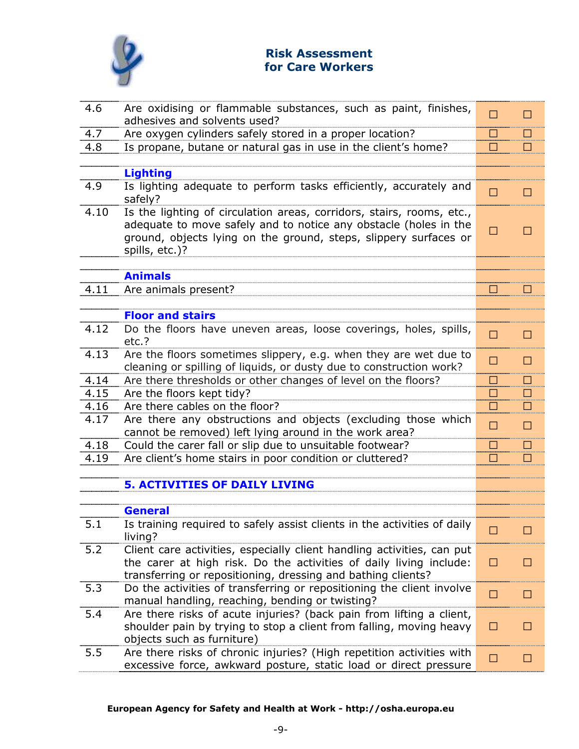

| 4.6  | Are oxidising or flammable substances, such as paint, finishes,<br>adhesives and solvents used?                                                                                                                                 | $\overline{\mathsf{J}}$ | J        |
|------|---------------------------------------------------------------------------------------------------------------------------------------------------------------------------------------------------------------------------------|-------------------------|----------|
| 4.7  | Are oxygen cylinders safely stored in a proper location?                                                                                                                                                                        | J                       | J        |
| 4.8  | Is propane, butane or natural gas in use in the client's home?                                                                                                                                                                  | J                       | J        |
|      |                                                                                                                                                                                                                                 |                         |          |
|      | <b>Lighting</b>                                                                                                                                                                                                                 |                         |          |
| 4.9  | Is lighting adequate to perform tasks efficiently, accurately and<br>safely?                                                                                                                                                    | J                       | J        |
| 4.10 | Is the lighting of circulation areas, corridors, stairs, rooms, etc.,<br>adequate to move safely and to notice any obstacle (holes in the<br>ground, objects lying on the ground, steps, slippery surfaces or<br>spills, etc.)? | J                       | J        |
|      |                                                                                                                                                                                                                                 |                         |          |
|      | <b>Animals</b>                                                                                                                                                                                                                  |                         |          |
| 4.11 | Are animals present?                                                                                                                                                                                                            | J                       | J        |
|      |                                                                                                                                                                                                                                 |                         |          |
|      | <b>Floor and stairs</b>                                                                                                                                                                                                         |                         |          |
| 4.12 | Do the floors have uneven areas, loose coverings, holes, spills,<br>etc.?                                                                                                                                                       | J                       | J        |
| 4.13 | Are the floors sometimes slippery, e.g. when they are wet due to<br>cleaning or spilling of liquids, or dusty due to construction work?                                                                                         | J                       | J        |
| 4.14 | Are there thresholds or other changes of level on the floors?                                                                                                                                                                   | J                       | <u>ل</u> |
| 4.15 | Are the floors kept tidy?                                                                                                                                                                                                       | J                       | <u>ل</u> |
| 4.16 | Are there cables on the floor?                                                                                                                                                                                                  | J                       | J        |
| 4.17 | Are there any obstructions and objects (excluding those which                                                                                                                                                                   |                         |          |
|      | cannot be removed) left lying around in the work area?                                                                                                                                                                          | J                       | J        |
| 4.18 | Could the carer fall or slip due to unsuitable footwear?                                                                                                                                                                        | J                       | J        |
| 4.19 | Are client's home stairs in poor condition or cluttered?                                                                                                                                                                        | J                       | J        |
|      |                                                                                                                                                                                                                                 |                         |          |
|      | <b>5. ACTIVITIES OF DAILY LIVING</b>                                                                                                                                                                                            |                         |          |
|      |                                                                                                                                                                                                                                 |                         |          |
|      | <b>General</b>                                                                                                                                                                                                                  |                         |          |
| 5.1  | Is training required to safely assist clients in the activities of daily<br>living?                                                                                                                                             | J                       | J        |
| 5.2  | Client care activities, especially client handling activities, can put                                                                                                                                                          |                         |          |
|      | the carer at high risk. Do the activities of daily living include:                                                                                                                                                              | J                       | J        |
|      | transferring or repositioning, dressing and bathing clients?                                                                                                                                                                    |                         |          |
| 5.3  | Do the activities of transferring or repositioning the client involve<br>manual handling, reaching, bending or twisting?                                                                                                        | J                       | J        |
| 5.4  | Are there risks of acute injuries? (back pain from lifting a client,<br>shoulder pain by trying to stop a client from falling, moving heavy<br>objects such as furniture)                                                       | J                       | J        |
| 5.5  | Are there risks of chronic injuries? (High repetition activities with<br>excessive force, awkward posture, static load or direct pressure                                                                                       | J                       | J        |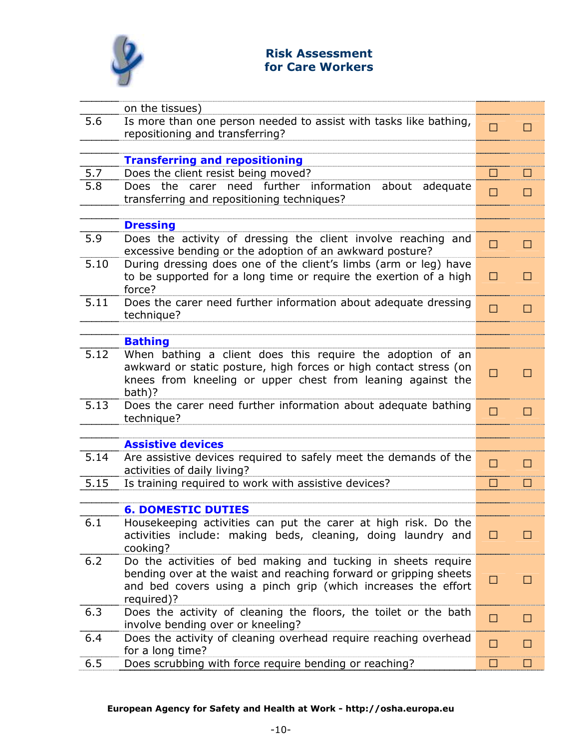

| on the tissues)                                                                                             |                         |   |
|-------------------------------------------------------------------------------------------------------------|-------------------------|---|
| 5.6<br>Is more than one person needed to assist with tasks like bathing,                                    | $\overline{\mathsf{J}}$ | J |
| repositioning and transferring?                                                                             |                         |   |
|                                                                                                             |                         |   |
| <b>Transferring and repositioning</b>                                                                       |                         |   |
| Does the client resist being moved?<br>5.7                                                                  | J                       | J |
| Does the carer need further information about adequate<br>5.8<br>transferring and repositioning techniques? | J                       | J |
|                                                                                                             |                         |   |
| <b>Dressing</b>                                                                                             |                         |   |
| 5.9<br>Does the activity of dressing the client involve reaching and                                        |                         |   |
| excessive bending or the adoption of an awkward posture?                                                    | J                       | J |
| 5.10<br>During dressing does one of the client's limbs (arm or leg) have                                    |                         |   |
| to be supported for a long time or require the exertion of a high                                           | J                       | J |
| force?                                                                                                      |                         |   |
| 5.11<br>Does the carer need further information about adequate dressing                                     | J                       | J |
| technique?                                                                                                  |                         |   |
|                                                                                                             |                         |   |
| <b>Bathing</b><br>5.12<br>When bathing a client does this require the adoption of an                        |                         |   |
| awkward or static posture, high forces or high contact stress (on                                           |                         |   |
| knees from kneeling or upper chest from leaning against the                                                 | J                       | J |
| bath)?                                                                                                      |                         |   |
| 5.13<br>Does the carer need further information about adequate bathing                                      | $\overline{\mathsf{J}}$ | J |
| technique?                                                                                                  |                         |   |
|                                                                                                             |                         |   |
| <b>Assistive devices</b>                                                                                    |                         |   |
| 5.14<br>Are assistive devices required to safely meet the demands of the                                    | J                       | J |
| activities of daily living?                                                                                 |                         |   |
| 5.15<br>Is training required to work with assistive devices?                                                | J                       | J |
| <b>6. DOMESTIC DUTIES</b>                                                                                   |                         |   |
| 6.1<br>Housekeeping activities can put the carer at high risk. Do the                                       |                         |   |
| activities include: making beds, cleaning, doing laundry and                                                | J                       | J |
| cooking?                                                                                                    |                         |   |
| Do the activities of bed making and tucking in sheets require<br>6.2                                        |                         |   |
| bending over at the waist and reaching forward or gripping sheets                                           | J                       | J |
| and bed covers using a pinch grip (which increases the effort                                               |                         |   |
| required)?                                                                                                  |                         |   |
| Does the activity of cleaning the floors, the toilet or the bath<br>6.3                                     | J                       | J |
| involve bending over or kneeling?                                                                           |                         |   |
| Does the activity of cleaning overhead require reaching overhead<br>6.4<br>for a long time?                 | J                       | J |
| Does scrubbing with force require bending or reaching?<br>6.5                                               | J                       | J |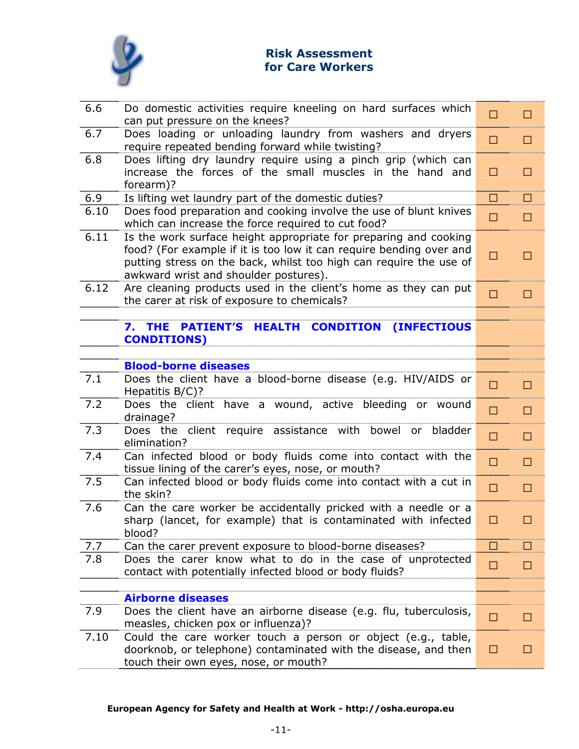

| 6.6  | Do domestic activities require kneeling on hard surfaces which<br>can put pressure on the knees?                                                                                                                                                       | J            | J  |
|------|--------------------------------------------------------------------------------------------------------------------------------------------------------------------------------------------------------------------------------------------------------|--------------|----|
| 6.7  | Does loading or unloading laundry from washers and dryers<br>require repeated bending forward while twisting?                                                                                                                                          | J            | J  |
| 6.8  | Does lifting dry laundry require using a pinch grip (which can<br>increase the forces of the small muscles in the hand and<br>forearm)?                                                                                                                | J            | J  |
| 6.9  | Is lifting wet laundry part of the domestic duties?                                                                                                                                                                                                    | $\mathsf{J}$ | J  |
| 6.10 | Does food preparation and cooking involve the use of blunt knives<br>which can increase the force required to cut food?                                                                                                                                | J            | J  |
| 6.11 | Is the work surface height appropriate for preparing and cooking<br>food? (For example if it is too low it can require bending over and<br>putting stress on the back, whilst too high can require the use of<br>awkward wrist and shoulder postures). | J            | J  |
| 6.12 | Are cleaning products used in the client's home as they can put<br>the carer at risk of exposure to chemicals?                                                                                                                                         | J            | J  |
|      |                                                                                                                                                                                                                                                        |              |    |
|      | <b>PATIENT'S HEALTH</b><br><b>THE</b><br><b>CONDITION</b><br><b>(INFECTIOUS</b><br>7.<br><b>CONDITIONS)</b>                                                                                                                                            |              |    |
|      |                                                                                                                                                                                                                                                        |              |    |
|      | <b>Blood-borne diseases</b>                                                                                                                                                                                                                            |              |    |
| 7.1  | Does the client have a blood-borne disease (e.g. HIV/AIDS or<br>Hepatitis B/C)?                                                                                                                                                                        | J            | J  |
| 7.2  | Does the client have a wound, active bleeding or wound<br>drainage?                                                                                                                                                                                    | J            | J  |
| 7.3  | Does the client require assistance with bowel or<br>bladder<br>elimination?                                                                                                                                                                            | J            | J  |
| 7.4  | Can infected blood or body fluids come into contact with the<br>tissue lining of the carer's eyes, nose, or mouth?                                                                                                                                     | J            | J  |
| 7.5  | Can infected blood or body fluids come into contact with a cut in<br>the skin?                                                                                                                                                                         | J            | J  |
| 7.6  | Can the care worker be accidentally pricked with a needle or a<br>sharp (lancet, for example) that is contaminated with infected<br>blood?                                                                                                             | J.           | J. |
| 7.7  | Can the carer prevent exposure to blood-borne diseases?                                                                                                                                                                                                | J            |    |
| 7.8  | Does the carer know what to do in the case of unprotected<br>contact with potentially infected blood or body fluids?                                                                                                                                   | J            | J  |
|      |                                                                                                                                                                                                                                                        |              |    |
|      | <b>Airborne diseases</b>                                                                                                                                                                                                                               |              |    |
| 7.9  | Does the client have an airborne disease (e.g. flu, tuberculosis,<br>measles, chicken pox or influenza)?                                                                                                                                               | J            | J  |
| 7.10 | Could the care worker touch a person or object (e.g., table,<br>doorknob, or telephone) contaminated with the disease, and then<br>touch their own eyes, nose, or mouth?                                                                               | J            | J  |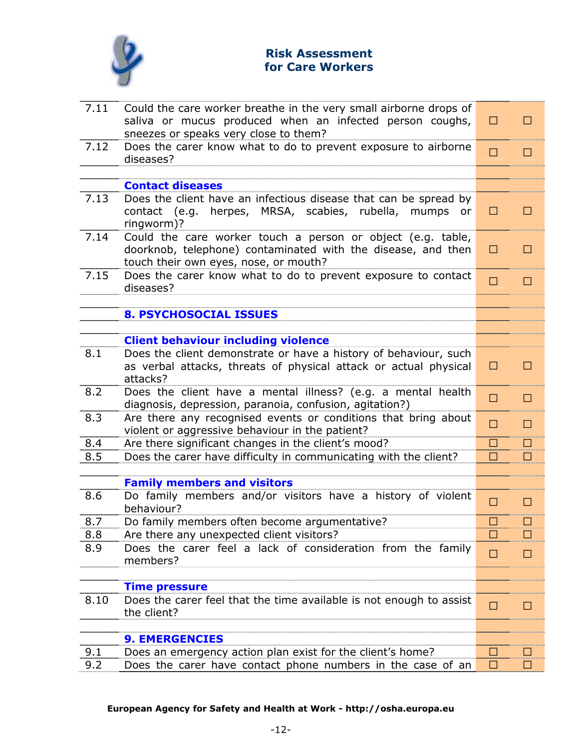

| 7.11 | Could the care worker breathe in the very small airborne drops of<br>saliva or mucus produced when an infected person coughs,<br>sneezes or speaks very close to them? | J | J |
|------|------------------------------------------------------------------------------------------------------------------------------------------------------------------------|---|---|
| 7.12 | Does the carer know what to do to prevent exposure to airborne<br>diseases?                                                                                            | J | J |
|      |                                                                                                                                                                        |   |   |
|      | <b>Contact diseases</b>                                                                                                                                                |   |   |
| 7.13 | Does the client have an infectious disease that can be spread by<br>contact (e.g. herpes, MRSA, scabies, rubella, mumps or<br>ringworm)?                               | J | J |
| 7.14 | Could the care worker touch a person or object (e.g. table,<br>doorknob, telephone) contaminated with the disease, and then<br>touch their own eyes, nose, or mouth?   | J | J |
| 7.15 | Does the carer know what to do to prevent exposure to contact<br>diseases?                                                                                             | J | J |
|      |                                                                                                                                                                        |   |   |
|      | <b>8. PSYCHOSOCIAL ISSUES</b>                                                                                                                                          |   |   |
|      |                                                                                                                                                                        |   |   |
| 8.1  | <b>Client behaviour including violence</b><br>Does the client demonstrate or have a history of behaviour, such                                                         |   |   |
|      | as verbal attacks, threats of physical attack or actual physical<br>attacks?                                                                                           | J | J |
| 8.2  | Does the client have a mental illness? (e.g. a mental health<br>diagnosis, depression, paranoia, confusion, agitation?)                                                | J | J |
| 8.3  | Are there any recognised events or conditions that bring about<br>violent or aggressive behaviour in the patient?                                                      | J | J |
| 8.4  | Are there significant changes in the client's mood?                                                                                                                    | J | J |
| 8.5  | Does the carer have difficulty in communicating with the client?                                                                                                       | J |   |
|      |                                                                                                                                                                        |   |   |
|      | <b>Family members and visitors</b>                                                                                                                                     |   |   |
| 8.6  | Do family members and/or visitors have a history of violent<br>behaviour?                                                                                              | J | J |
| 8.7  | Do family members often become argumentative?                                                                                                                          |   |   |
| 8.8  | Are there any unexpected client visitors?                                                                                                                              |   |   |
| 8.9  | Does the carer feel a lack of consideration from the family<br>members?                                                                                                | J | J |
|      |                                                                                                                                                                        |   |   |
|      | <b>Time pressure</b>                                                                                                                                                   |   |   |
| 8.10 | Does the carer feel that the time available is not enough to assist<br>the client?                                                                                     | J | J |
|      |                                                                                                                                                                        |   |   |
|      | <b>9. EMERGENCIES</b>                                                                                                                                                  |   |   |
| 9.1  | Does an emergency action plan exist for the client's home?                                                                                                             | J | J |
| 9.2  | Does the carer have contact phone numbers in the case of an                                                                                                            | J | J |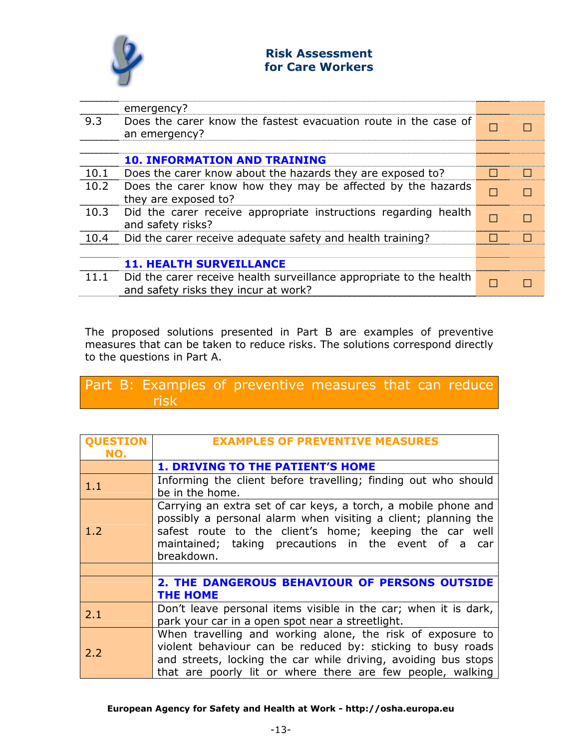

|      | emergency?                                                                                                  |   |  |
|------|-------------------------------------------------------------------------------------------------------------|---|--|
| 9.3  | Does the carer know the fastest evacuation route in the case of<br>an emergency?                            |   |  |
|      |                                                                                                             |   |  |
|      | <b>10. INFORMATION AND TRAINING</b>                                                                         |   |  |
| 10.1 | Does the carer know about the hazards they are exposed to?                                                  | J |  |
| 10.2 | Does the carer know how they may be affected by the hazards<br>they are exposed to?                         |   |  |
| 10.3 | Did the carer receive appropriate instructions regarding health<br>and safety risks?                        |   |  |
| 10.4 | Did the carer receive adequate safety and health training?                                                  |   |  |
|      |                                                                                                             |   |  |
|      | <b>11. HEALTH SURVEILLANCE</b>                                                                              |   |  |
| 11.1 | Did the carer receive health surveillance appropriate to the health<br>and safety risks they incur at work? |   |  |

The proposed solutions presented in Part B are examples of preventive measures that can be taken to reduce risks. The solutions correspond directly to the questions in Part A.

## Part B: Examples of preventive measures that can reduce risk

| <b>OUESTION</b><br>NO. | <b>EXAMPLES OF PREVENTIVE MEASURES</b>                                                                                                                                                                                                                            |
|------------------------|-------------------------------------------------------------------------------------------------------------------------------------------------------------------------------------------------------------------------------------------------------------------|
|                        | <b>1. DRIVING TO THE PATIENT'S HOME</b>                                                                                                                                                                                                                           |
| 1.1                    | Informing the client before travelling; finding out who should<br>be in the home.                                                                                                                                                                                 |
| 1.2                    | Carrying an extra set of car keys, a torch, a mobile phone and<br>possibly a personal alarm when visiting a client; planning the<br>safest route to the client's home; keeping the car well<br>maintained; taking precautions in the event of a car<br>breakdown. |
|                        |                                                                                                                                                                                                                                                                   |
|                        | <b>2. THE DANGEROUS BEHAVIOUR OF PERSONS OUTSIDE</b><br><b>THE HOME</b>                                                                                                                                                                                           |
| 2.1                    | Don't leave personal items visible in the car; when it is dark,<br>park your car in a open spot near a streetlight.                                                                                                                                               |
| 2.2                    | When travelling and working alone, the risk of exposure to<br>violent behaviour can be reduced by: sticking to busy roads<br>and streets, locking the car while driving, avoiding bus stops<br>that are poorly lit or where there are few people, walking         |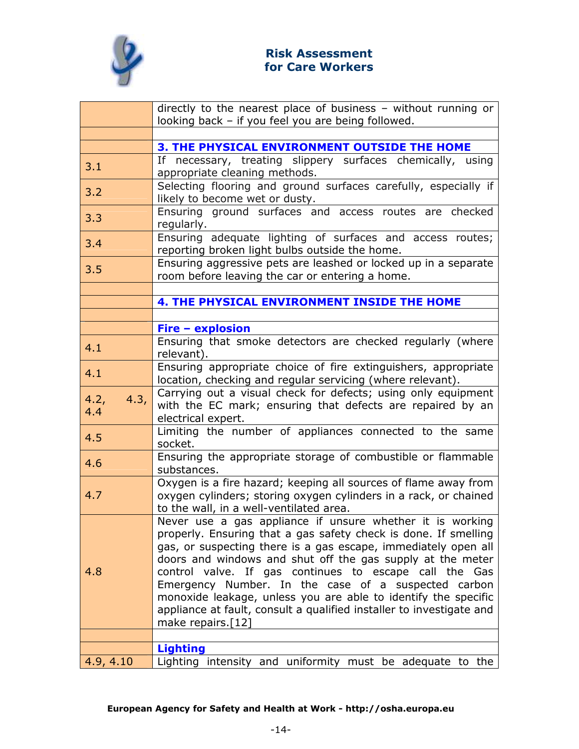

|                     | directly to the nearest place of business - without running or<br>looking back - if you feel you are being followed.                                                                                                                                                                                                                                                                                                                                                                                                                            |
|---------------------|-------------------------------------------------------------------------------------------------------------------------------------------------------------------------------------------------------------------------------------------------------------------------------------------------------------------------------------------------------------------------------------------------------------------------------------------------------------------------------------------------------------------------------------------------|
|                     |                                                                                                                                                                                                                                                                                                                                                                                                                                                                                                                                                 |
|                     | 3. THE PHYSICAL ENVIRONMENT OUTSIDE THE HOME                                                                                                                                                                                                                                                                                                                                                                                                                                                                                                    |
| 3.1                 | If necessary, treating slippery surfaces chemically, using<br>appropriate cleaning methods.                                                                                                                                                                                                                                                                                                                                                                                                                                                     |
| 3.2                 | Selecting flooring and ground surfaces carefully, especially if<br>likely to become wet or dusty.                                                                                                                                                                                                                                                                                                                                                                                                                                               |
| 3.3                 | Ensuring ground surfaces and access routes are checked<br>regularly.                                                                                                                                                                                                                                                                                                                                                                                                                                                                            |
| 3.4                 | Ensuring adequate lighting of surfaces and access routes;<br>reporting broken light bulbs outside the home.                                                                                                                                                                                                                                                                                                                                                                                                                                     |
| 3.5                 | Ensuring aggressive pets are leashed or locked up in a separate<br>room before leaving the car or entering a home.                                                                                                                                                                                                                                                                                                                                                                                                                              |
|                     |                                                                                                                                                                                                                                                                                                                                                                                                                                                                                                                                                 |
|                     | 4. THE PHYSICAL ENVIRONMENT INSIDE THE HOME                                                                                                                                                                                                                                                                                                                                                                                                                                                                                                     |
|                     |                                                                                                                                                                                                                                                                                                                                                                                                                                                                                                                                                 |
|                     | <b>Fire - explosion</b>                                                                                                                                                                                                                                                                                                                                                                                                                                                                                                                         |
| 4.1                 | Ensuring that smoke detectors are checked regularly (where<br>relevant).                                                                                                                                                                                                                                                                                                                                                                                                                                                                        |
| 4.1                 | Ensuring appropriate choice of fire extinguishers, appropriate<br>location, checking and regular servicing (where relevant).                                                                                                                                                                                                                                                                                                                                                                                                                    |
| 4.3,<br>4.2,<br>4.4 | Carrying out a visual check for defects; using only equipment<br>with the EC mark; ensuring that defects are repaired by an<br>electrical expert.                                                                                                                                                                                                                                                                                                                                                                                               |
| 4.5                 | Limiting the number of appliances connected to the same<br>socket.                                                                                                                                                                                                                                                                                                                                                                                                                                                                              |
| 4.6                 | Ensuring the appropriate storage of combustible or flammable<br>substances.                                                                                                                                                                                                                                                                                                                                                                                                                                                                     |
| 4.7                 | Oxygen is a fire hazard; keeping all sources of flame away from<br>oxygen cylinders; storing oxygen cylinders in a rack, or chained<br>to the wall, in a well-ventilated area.                                                                                                                                                                                                                                                                                                                                                                  |
| 4.8                 | Never use a gas appliance if unsure whether it is working<br>properly. Ensuring that a gas safety check is done. If smelling<br>gas, or suspecting there is a gas escape, immediately open all<br>doors and windows and shut off the gas supply at the meter<br>control valve. If gas continues to escape call the Gas<br>Emergency Number. In the case of a suspected carbon<br>monoxide leakage, unless you are able to identify the specific<br>appliance at fault, consult a qualified installer to investigate and<br>make repairs. $[12]$ |
|                     | <b>Lighting</b>                                                                                                                                                                                                                                                                                                                                                                                                                                                                                                                                 |
| 4.9, 4.10           | Lighting intensity and uniformity must be adequate to the                                                                                                                                                                                                                                                                                                                                                                                                                                                                                       |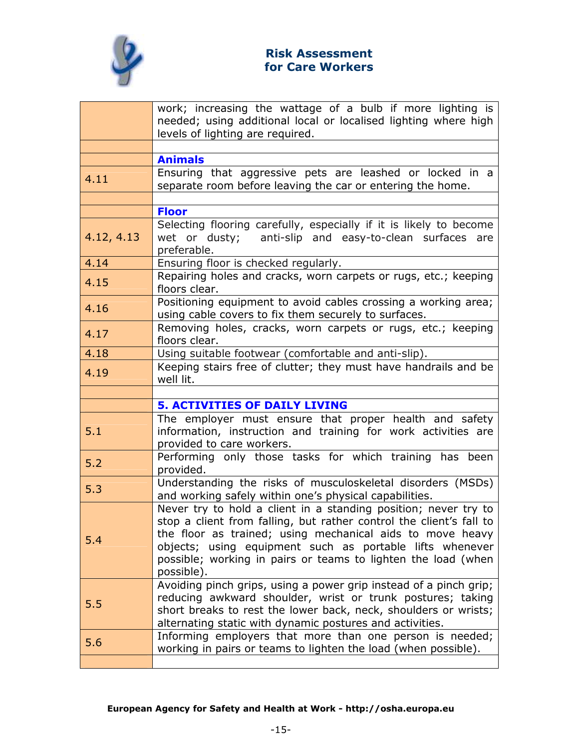

|            | work; increasing the wattage of a bulb if more lighting is                                                                                                                                                                                                                                                                                     |
|------------|------------------------------------------------------------------------------------------------------------------------------------------------------------------------------------------------------------------------------------------------------------------------------------------------------------------------------------------------|
|            | needed; using additional local or localised lighting where high<br>levels of lighting are required.                                                                                                                                                                                                                                            |
|            |                                                                                                                                                                                                                                                                                                                                                |
|            | <b>Animals</b>                                                                                                                                                                                                                                                                                                                                 |
| 4.11       | Ensuring that aggressive pets are leashed or locked in a<br>separate room before leaving the car or entering the home.                                                                                                                                                                                                                         |
|            |                                                                                                                                                                                                                                                                                                                                                |
|            | <b>Floor</b><br>Selecting flooring carefully, especially if it is likely to become                                                                                                                                                                                                                                                             |
| 4.12, 4.13 | wet or dusty;<br>anti-slip and easy-to-clean surfaces are<br>preferable.                                                                                                                                                                                                                                                                       |
| 4.14       | Ensuring floor is checked regularly.                                                                                                                                                                                                                                                                                                           |
| 4.15       | Repairing holes and cracks, worn carpets or rugs, etc.; keeping<br>floors clear.                                                                                                                                                                                                                                                               |
| 4.16       | Positioning equipment to avoid cables crossing a working area;<br>using cable covers to fix them securely to surfaces.                                                                                                                                                                                                                         |
| 4.17       | Removing holes, cracks, worn carpets or rugs, etc.; keeping<br>floors clear.                                                                                                                                                                                                                                                                   |
| 4.18       | Using suitable footwear (comfortable and anti-slip).                                                                                                                                                                                                                                                                                           |
| 4.19       | Keeping stairs free of clutter; they must have handrails and be<br>well lit.                                                                                                                                                                                                                                                                   |
|            |                                                                                                                                                                                                                                                                                                                                                |
|            |                                                                                                                                                                                                                                                                                                                                                |
|            | <b>5. ACTIVITIES OF DAILY LIVING</b>                                                                                                                                                                                                                                                                                                           |
| 5.1        | The employer must ensure that proper health and safety<br>information, instruction and training for work activities are                                                                                                                                                                                                                        |
| 5.2        | provided to care workers.<br>Performing only those tasks for which training has been<br>provided.                                                                                                                                                                                                                                              |
| 5.3        | Understanding the risks of musculoskeletal disorders (MSDs)<br>and working safely within one's physical capabilities.                                                                                                                                                                                                                          |
| 5.4        | Never try to hold a client in a standing position; never try to<br>stop a client from falling, but rather control the client's fall to<br>the floor as trained; using mechanical aids to move heavy<br>objects; using equipment such as portable lifts whenever<br>possible; working in pairs or teams to lighten the load (when<br>possible). |
| 5.5        | Avoiding pinch grips, using a power grip instead of a pinch grip;<br>reducing awkward shoulder, wrist or trunk postures; taking<br>short breaks to rest the lower back, neck, shoulders or wrists;<br>alternating static with dynamic postures and activities.                                                                                 |
| 5.6        | Informing employers that more than one person is needed;<br>working in pairs or teams to lighten the load (when possible).                                                                                                                                                                                                                     |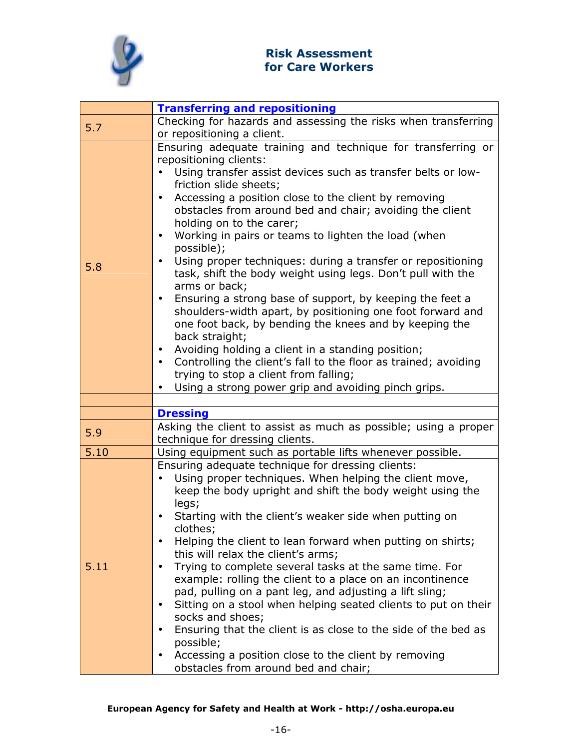

|      | <b>Transferring and repositioning</b>                                                                     |
|------|-----------------------------------------------------------------------------------------------------------|
| 5.7  | Checking for hazards and assessing the risks when transferring                                            |
|      | or repositioning a client.                                                                                |
|      | Ensuring adequate training and technique for transferring or                                              |
|      | repositioning clients:                                                                                    |
|      | Using transfer assist devices such as transfer belts or low-<br>$\bullet$                                 |
|      | friction slide sheets;                                                                                    |
|      | Accessing a position close to the client by removing<br>$\bullet$                                         |
|      | obstacles from around bed and chair; avoiding the client<br>holding on to the carer;                      |
|      | Working in pairs or teams to lighten the load (when<br>$\bullet$                                          |
|      | possible);                                                                                                |
| 5.8  | Using proper techniques: during a transfer or repositioning                                               |
|      | task, shift the body weight using legs. Don't pull with the                                               |
|      | arms or back;                                                                                             |
|      | Ensuring a strong base of support, by keeping the feet a<br>$\bullet$                                     |
|      | shoulders-width apart, by positioning one foot forward and                                                |
|      | one foot back, by bending the knees and by keeping the                                                    |
|      | back straight;                                                                                            |
|      | Avoiding holding a client in a standing position;<br>$\bullet$                                            |
|      | Controlling the client's fall to the floor as trained; avoiding<br>$\bullet$                              |
|      | trying to stop a client from falling;<br>Using a strong power grip and avoiding pinch grips.<br>$\bullet$ |
|      |                                                                                                           |
|      | <b>Dressing</b>                                                                                           |
|      | Asking the client to assist as much as possible; using a proper                                           |
| 5.9  | technique for dressing clients.                                                                           |
| 5.10 | Using equipment such as portable lifts whenever possible.                                                 |
|      | Ensuring adequate technique for dressing clients:                                                         |
|      | Using proper techniques. When helping the client move,<br>$\bullet$                                       |
|      | keep the body upright and shift the body weight using the                                                 |
|      | legs;                                                                                                     |
|      | Starting with the client's weaker side when putting on                                                    |
|      | clothes;<br>Helping the client to lean forward when putting on shirts;                                    |
|      | this will relax the client's arms;                                                                        |
| 5.11 | Trying to complete several tasks at the same time. For                                                    |
|      | example: rolling the client to a place on an incontinence                                                 |
|      | pad, pulling on a pant leg, and adjusting a lift sling;                                                   |
|      | Sitting on a stool when helping seated clients to put on their                                            |
|      | socks and shoes;                                                                                          |
|      | Ensuring that the client is as close to the side of the bed as                                            |
|      | possible;                                                                                                 |
|      | Accessing a position close to the client by removing<br>$\bullet$                                         |
|      | obstacles from around bed and chair;                                                                      |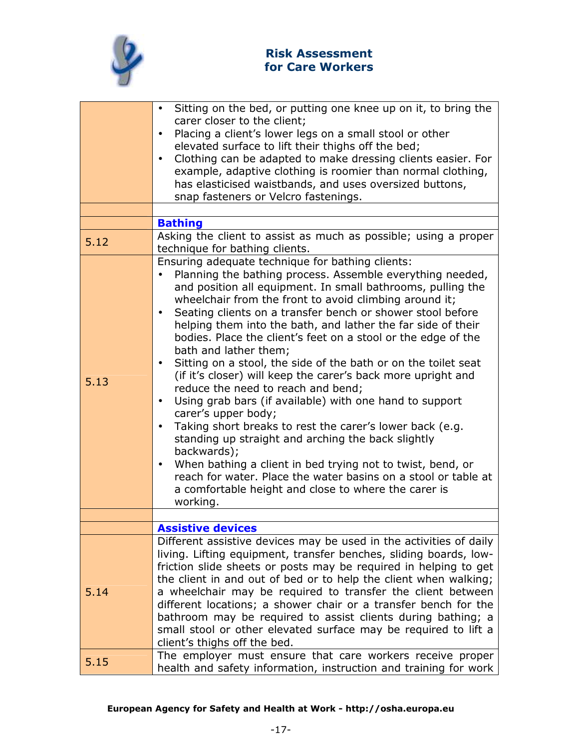

|      | Sitting on the bed, or putting one knee up on it, to bring the<br>carer closer to the client;<br>Placing a client's lower legs on a small stool or other<br>$\bullet$<br>elevated surface to lift their thighs off the bed;<br>Clothing can be adapted to make dressing clients easier. For<br>example, adaptive clothing is roomier than normal clothing,                                                                                                                                                                                                                                                                                                                                                                                                                                                                                                                                                                                                                                                                                                                              |
|------|-----------------------------------------------------------------------------------------------------------------------------------------------------------------------------------------------------------------------------------------------------------------------------------------------------------------------------------------------------------------------------------------------------------------------------------------------------------------------------------------------------------------------------------------------------------------------------------------------------------------------------------------------------------------------------------------------------------------------------------------------------------------------------------------------------------------------------------------------------------------------------------------------------------------------------------------------------------------------------------------------------------------------------------------------------------------------------------------|
|      | has elasticised waistbands, and uses oversized buttons,<br>snap fasteners or Velcro fastenings.                                                                                                                                                                                                                                                                                                                                                                                                                                                                                                                                                                                                                                                                                                                                                                                                                                                                                                                                                                                         |
|      |                                                                                                                                                                                                                                                                                                                                                                                                                                                                                                                                                                                                                                                                                                                                                                                                                                                                                                                                                                                                                                                                                         |
|      | <b>Bathing</b>                                                                                                                                                                                                                                                                                                                                                                                                                                                                                                                                                                                                                                                                                                                                                                                                                                                                                                                                                                                                                                                                          |
| 5.12 | Asking the client to assist as much as possible; using a proper<br>technique for bathing clients.                                                                                                                                                                                                                                                                                                                                                                                                                                                                                                                                                                                                                                                                                                                                                                                                                                                                                                                                                                                       |
| 5.13 | Ensuring adequate technique for bathing clients:<br>Planning the bathing process. Assemble everything needed,<br>and position all equipment. In small bathrooms, pulling the<br>wheelchair from the front to avoid climbing around it;<br>Seating clients on a transfer bench or shower stool before<br>helping them into the bath, and lather the far side of their<br>bodies. Place the client's feet on a stool or the edge of the<br>bath and lather them;<br>Sitting on a stool, the side of the bath or on the toilet seat<br>(if it's closer) will keep the carer's back more upright and<br>reduce the need to reach and bend;<br>Using grab bars (if available) with one hand to support<br>$\bullet$<br>carer's upper body;<br>Taking short breaks to rest the carer's lower back (e.g.<br>standing up straight and arching the back slightly<br>backwards);<br>When bathing a client in bed trying not to twist, bend, or<br>$\bullet$<br>reach for water. Place the water basins on a stool or table at<br>a comfortable height and close to where the carer is<br>working. |
|      |                                                                                                                                                                                                                                                                                                                                                                                                                                                                                                                                                                                                                                                                                                                                                                                                                                                                                                                                                                                                                                                                                         |
| 5.14 | <b>Assistive devices</b><br>Different assistive devices may be used in the activities of daily<br>living. Lifting equipment, transfer benches, sliding boards, low-<br>friction slide sheets or posts may be required in helping to get<br>the client in and out of bed or to help the client when walking;<br>a wheelchair may be required to transfer the client between<br>different locations; a shower chair or a transfer bench for the<br>bathroom may be required to assist clients during bathing; a<br>small stool or other elevated surface may be required to lift a                                                                                                                                                                                                                                                                                                                                                                                                                                                                                                        |
| 5.15 | client's thighs off the bed.<br>The employer must ensure that care workers receive proper<br>health and safety information, instruction and training for work                                                                                                                                                                                                                                                                                                                                                                                                                                                                                                                                                                                                                                                                                                                                                                                                                                                                                                                           |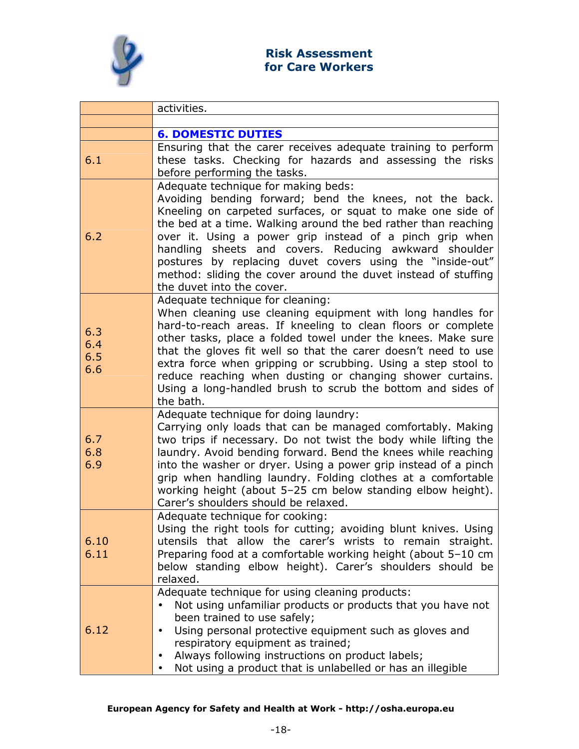

|                          | activities.                                                                                                                                                                                                                                                                                                                                                                                                                                                                                                      |
|--------------------------|------------------------------------------------------------------------------------------------------------------------------------------------------------------------------------------------------------------------------------------------------------------------------------------------------------------------------------------------------------------------------------------------------------------------------------------------------------------------------------------------------------------|
|                          |                                                                                                                                                                                                                                                                                                                                                                                                                                                                                                                  |
|                          | <b>6. DOMESTIC DUTIES</b>                                                                                                                                                                                                                                                                                                                                                                                                                                                                                        |
| 6.1                      | Ensuring that the carer receives adequate training to perform<br>these tasks. Checking for hazards and assessing the risks<br>before performing the tasks.                                                                                                                                                                                                                                                                                                                                                       |
| 6.2                      | Adequate technique for making beds:<br>Avoiding bending forward; bend the knees, not the back.<br>Kneeling on carpeted surfaces, or squat to make one side of<br>the bed at a time. Walking around the bed rather than reaching<br>over it. Using a power grip instead of a pinch grip when<br>handling sheets and covers. Reducing awkward shoulder<br>postures by replacing duvet covers using the "inside-out"<br>method: sliding the cover around the duvet instead of stuffing<br>the duvet into the cover. |
| 6.3<br>6.4<br>6.5<br>6.6 | Adequate technique for cleaning:<br>When cleaning use cleaning equipment with long handles for<br>hard-to-reach areas. If kneeling to clean floors or complete<br>other tasks, place a folded towel under the knees. Make sure<br>that the gloves fit well so that the carer doesn't need to use<br>extra force when gripping or scrubbing. Using a step stool to<br>reduce reaching when dusting or changing shower curtains.<br>Using a long-handled brush to scrub the bottom and sides of<br>the bath.       |
| 6.7<br>6.8<br>6.9        | Adequate technique for doing laundry:<br>Carrying only loads that can be managed comfortably. Making<br>two trips if necessary. Do not twist the body while lifting the<br>laundry. Avoid bending forward. Bend the knees while reaching<br>into the washer or dryer. Using a power grip instead of a pinch<br>grip when handling laundry. Folding clothes at a comfortable<br>working height (about 5-25 cm below standing elbow height).<br>Carer's shoulders should be relaxed.                               |
| 6.10<br>6.11             | Adequate technique for cooking:<br>Using the right tools for cutting; avoiding blunt knives. Using<br>utensils that allow the carer's wrists to remain straight.<br>Preparing food at a comfortable working height (about 5-10 cm<br>below standing elbow height). Carer's shoulders should be<br>relaxed.                                                                                                                                                                                                       |
| 6.12                     | Adequate technique for using cleaning products:<br>Not using unfamiliar products or products that you have not<br>$\bullet$<br>been trained to use safely;<br>Using personal protective equipment such as gloves and<br>respiratory equipment as trained;<br>Always following instructions on product labels;<br>$\bullet$<br>Not using a product that is unlabelled or has an illegible                                                                                                                         |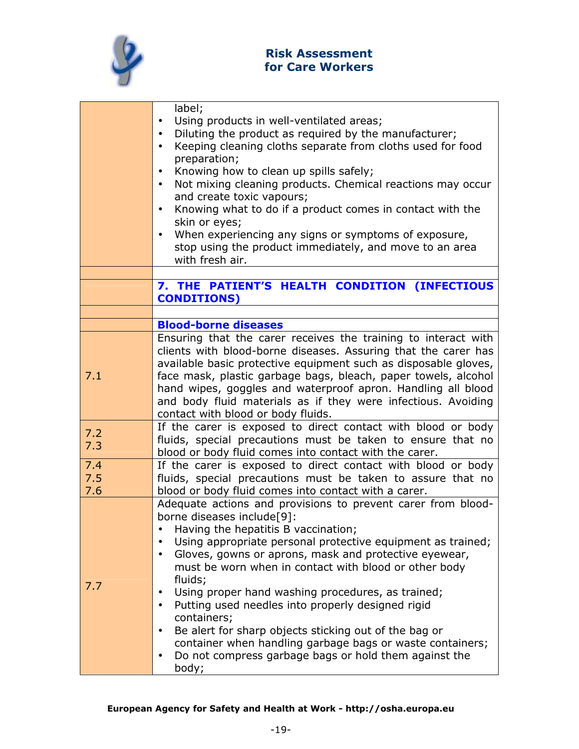

| label;<br>Using products in well-ventilated areas;<br>$\bullet$<br>Diluting the product as required by the manufacturer;<br>$\bullet$<br>Keeping cleaning cloths separate from cloths used for food<br>$\bullet$<br>preparation;<br>Knowing how to clean up spills safely;<br>Not mixing cleaning products. Chemical reactions may occur<br>$\bullet$<br>and create toxic vapours;<br>Knowing what to do if a product comes in contact with the<br>skin or eyes;<br>When experiencing any signs or symptoms of exposure,<br>stop using the product immediately, and move to an area<br>with fresh air.                                                                                |
|---------------------------------------------------------------------------------------------------------------------------------------------------------------------------------------------------------------------------------------------------------------------------------------------------------------------------------------------------------------------------------------------------------------------------------------------------------------------------------------------------------------------------------------------------------------------------------------------------------------------------------------------------------------------------------------|
| 7. THE PATIENT'S HEALTH CONDITION (INFECTIOUS<br><b>CONDITIONS)</b>                                                                                                                                                                                                                                                                                                                                                                                                                                                                                                                                                                                                                   |
|                                                                                                                                                                                                                                                                                                                                                                                                                                                                                                                                                                                                                                                                                       |
| <b>Blood-borne diseases</b>                                                                                                                                                                                                                                                                                                                                                                                                                                                                                                                                                                                                                                                           |
| Ensuring that the carer receives the training to interact with<br>clients with blood-borne diseases. Assuring that the carer has<br>available basic protective equipment such as disposable gloves,<br>face mask, plastic garbage bags, bleach, paper towels, alcohol<br>hand wipes, goggles and waterproof apron. Handling all blood<br>and body fluid materials as if they were infectious. Avoiding<br>contact with blood or body fluids.                                                                                                                                                                                                                                          |
| If the carer is exposed to direct contact with blood or body<br>fluids, special precautions must be taken to ensure that no<br>blood or body fluid comes into contact with the carer.                                                                                                                                                                                                                                                                                                                                                                                                                                                                                                 |
| If the carer is exposed to direct contact with blood or body<br>fluids, special precautions must be taken to assure that no                                                                                                                                                                                                                                                                                                                                                                                                                                                                                                                                                           |
| blood or body fluid comes into contact with a carer.                                                                                                                                                                                                                                                                                                                                                                                                                                                                                                                                                                                                                                  |
| Adequate actions and provisions to prevent carer from blood-<br>borne diseases include[9]:<br>Having the hepatitis B vaccination;<br>Using appropriate personal protective equipment as trained;<br>Gloves, gowns or aprons, mask and protective eyewear,<br>$\bullet$<br>must be worn when in contact with blood or other body<br>fluids;<br>Using proper hand washing procedures, as trained;<br>$\bullet$<br>Putting used needles into properly designed rigid<br>containers;<br>Be alert for sharp objects sticking out of the bag or<br>container when handling garbage bags or waste containers;<br>Do not compress garbage bags or hold them against the<br>$\bullet$<br>body; |
|                                                                                                                                                                                                                                                                                                                                                                                                                                                                                                                                                                                                                                                                                       |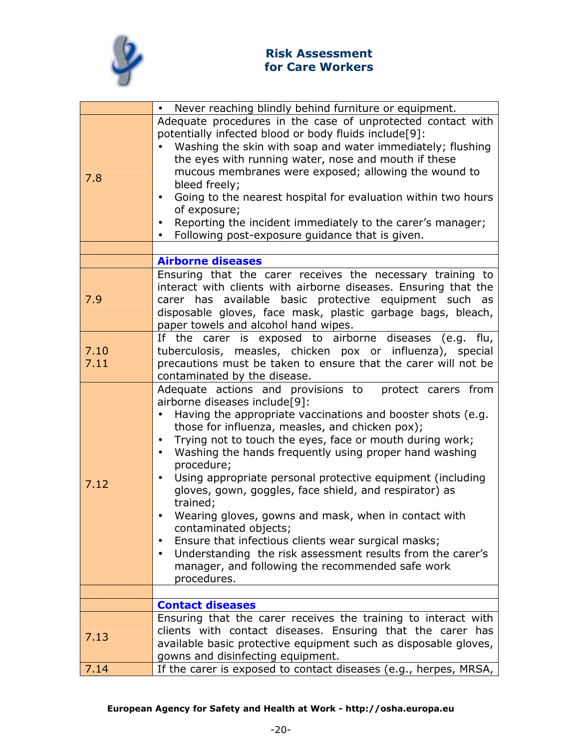

|              | Never reaching blindly behind furniture or equipment.                                                                                                                                                                                                                                                                                                                                                                                                                                                                                                                                                                                                                                                                                                                                                |
|--------------|------------------------------------------------------------------------------------------------------------------------------------------------------------------------------------------------------------------------------------------------------------------------------------------------------------------------------------------------------------------------------------------------------------------------------------------------------------------------------------------------------------------------------------------------------------------------------------------------------------------------------------------------------------------------------------------------------------------------------------------------------------------------------------------------------|
| 7.8          | Adequate procedures in the case of unprotected contact with<br>potentially infected blood or body fluids include[9]:<br>Washing the skin with soap and water immediately; flushing<br>the eyes with running water, nose and mouth if these<br>mucous membranes were exposed; allowing the wound to<br>bleed freely;<br>Going to the nearest hospital for evaluation within two hours<br>$\bullet$<br>of exposure;<br>Reporting the incident immediately to the carer's manager;<br>Following post-exposure guidance that is given.                                                                                                                                                                                                                                                                   |
|              |                                                                                                                                                                                                                                                                                                                                                                                                                                                                                                                                                                                                                                                                                                                                                                                                      |
|              | <b>Airborne diseases</b>                                                                                                                                                                                                                                                                                                                                                                                                                                                                                                                                                                                                                                                                                                                                                                             |
| 7.9          | Ensuring that the carer receives the necessary training to<br>interact with clients with airborne diseases. Ensuring that the<br>carer has available basic protective equipment such as<br>disposable gloves, face mask, plastic garbage bags, bleach,<br>paper towels and alcohol hand wipes.                                                                                                                                                                                                                                                                                                                                                                                                                                                                                                       |
| 7.10<br>7.11 | If the carer is exposed to airborne diseases (e.g. flu,<br>tuberculosis, measles, chicken pox or influenza), special<br>precautions must be taken to ensure that the carer will not be<br>contaminated by the disease.                                                                                                                                                                                                                                                                                                                                                                                                                                                                                                                                                                               |
| 7.12         | Adequate actions and provisions to<br>protect carers from<br>airborne diseases include[9]:<br>Having the appropriate vaccinations and booster shots (e.g.<br>those for influenza, measles, and chicken pox);<br>Trying not to touch the eyes, face or mouth during work;<br>$\bullet$<br>Washing the hands frequently using proper hand washing<br>$\bullet$<br>procedure;<br>Using appropriate personal protective equipment (including<br>gloves, gown, goggles, face shield, and respirator) as<br>trained;<br>Wearing gloves, gowns and mask, when in contact with<br>contaminated objects;<br>Ensure that infectious clients wear surgical masks;<br>Understanding the risk assessment results from the carer's<br>$\bullet$<br>manager, and following the recommended safe work<br>procedures. |
|              |                                                                                                                                                                                                                                                                                                                                                                                                                                                                                                                                                                                                                                                                                                                                                                                                      |
|              | <b>Contact diseases</b><br>Ensuring that the carer receives the training to interact with                                                                                                                                                                                                                                                                                                                                                                                                                                                                                                                                                                                                                                                                                                            |
| 7.13         | clients with contact diseases. Ensuring that the carer has<br>available basic protective equipment such as disposable gloves,<br>gowns and disinfecting equipment.                                                                                                                                                                                                                                                                                                                                                                                                                                                                                                                                                                                                                                   |
| 7.14         | If the carer is exposed to contact diseases (e.g., herpes, MRSA,                                                                                                                                                                                                                                                                                                                                                                                                                                                                                                                                                                                                                                                                                                                                     |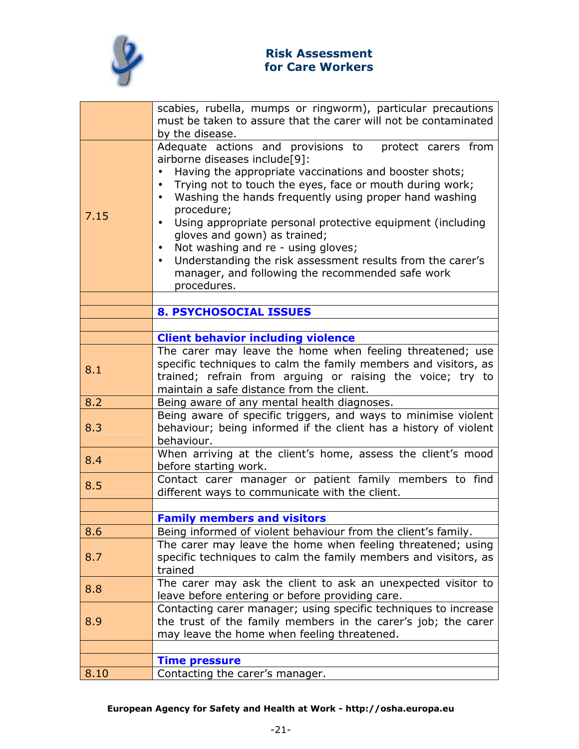

|      | scabies, rubella, mumps or ringworm), particular precautions                                                       |
|------|--------------------------------------------------------------------------------------------------------------------|
|      | must be taken to assure that the carer will not be contaminated<br>by the disease.                                 |
|      | Adequate actions and provisions to protect carers from                                                             |
|      | airborne diseases include[9]:                                                                                      |
|      | Having the appropriate vaccinations and booster shots;                                                             |
|      | Trying not to touch the eyes, face or mouth during work;<br>$\bullet$                                              |
|      | Washing the hands frequently using proper hand washing<br>$\bullet$                                                |
|      | procedure;                                                                                                         |
| 7.15 | Using appropriate personal protective equipment (including<br>$\bullet$                                            |
|      | gloves and gown) as trained;                                                                                       |
|      | Not washing and re - using gloves;                                                                                 |
|      | Understanding the risk assessment results from the carer's                                                         |
|      | manager, and following the recommended safe work                                                                   |
|      | procedures.                                                                                                        |
|      | <b>8. PSYCHOSOCIAL ISSUES</b>                                                                                      |
|      |                                                                                                                    |
|      | <b>Client behavior including violence</b>                                                                          |
|      | The carer may leave the home when feeling threatened; use                                                          |
|      | specific techniques to calm the family members and visitors, as                                                    |
| 8.1  | trained; refrain from arguing or raising the voice; try to                                                         |
|      | maintain a safe distance from the client.                                                                          |
| 8.2  | Being aware of any mental health diagnoses.                                                                        |
|      | Being aware of specific triggers, and ways to minimise violent                                                     |
| 8.3  | behaviour; being informed if the client has a history of violent                                                   |
|      | behaviour.                                                                                                         |
| 8.4  | When arriving at the client's home, assess the client's mood                                                       |
|      | before starting work.                                                                                              |
| 8.5  | Contact carer manager or patient family members to find                                                            |
|      | different ways to communicate with the client.                                                                     |
|      |                                                                                                                    |
|      | <b>Family members and visitors</b>                                                                                 |
| 8.6  | Being informed of violent behaviour from the client's family.                                                      |
|      | The carer may leave the home when feeling threatened; using                                                        |
| 8.7  | specific techniques to calm the family members and visitors, as<br>trained                                         |
|      |                                                                                                                    |
| 8.8  | The carer may ask the client to ask an unexpected visitor to                                                       |
|      | leave before entering or before providing care.<br>Contacting carer manager; using specific techniques to increase |
| 8.9  | the trust of the family members in the carer's job; the carer                                                      |
|      | may leave the home when feeling threatened.                                                                        |
|      |                                                                                                                    |
|      | <b>Time pressure</b>                                                                                               |
| 8.10 | Contacting the carer's manager.                                                                                    |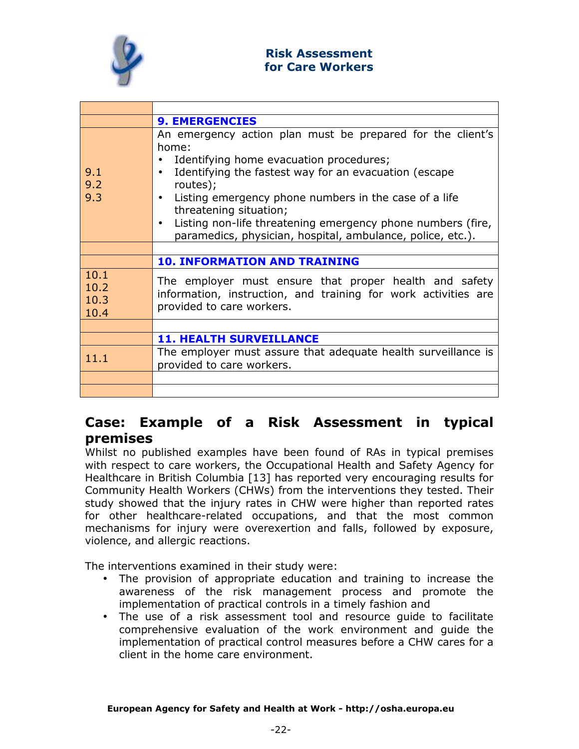

|                              | <b>9. EMERGENCIES</b>                                                                                                                                                                                                                                                                                                                                                                                                                      |
|------------------------------|--------------------------------------------------------------------------------------------------------------------------------------------------------------------------------------------------------------------------------------------------------------------------------------------------------------------------------------------------------------------------------------------------------------------------------------------|
| 9.1<br>9.2<br>9.3            | An emergency action plan must be prepared for the client's<br>home:<br>Identifying home evacuation procedures;<br>$\bullet$<br>Identifying the fastest way for an evacuation (escape<br>$\bullet$<br>routes);<br>Listing emergency phone numbers in the case of a life<br>threatening situation;<br>Listing non-life threatening emergency phone numbers (fire,<br>$\bullet$<br>paramedics, physician, hospital, ambulance, police, etc.). |
|                              |                                                                                                                                                                                                                                                                                                                                                                                                                                            |
|                              | <b>10. INFORMATION AND TRAINING</b>                                                                                                                                                                                                                                                                                                                                                                                                        |
| 10.1<br>10.2<br>10.3<br>10.4 | The employer must ensure that proper health and safety<br>information, instruction, and training for work activities are<br>provided to care workers.                                                                                                                                                                                                                                                                                      |
|                              |                                                                                                                                                                                                                                                                                                                                                                                                                                            |
|                              | <b>11. HEALTH SURVEILLANCE</b>                                                                                                                                                                                                                                                                                                                                                                                                             |
| 11.1                         | The employer must assure that adequate health surveillance is<br>provided to care workers.                                                                                                                                                                                                                                                                                                                                                 |
|                              |                                                                                                                                                                                                                                                                                                                                                                                                                                            |
|                              |                                                                                                                                                                                                                                                                                                                                                                                                                                            |

# Case: Example of a Risk Assessment in typical premises

Whilst no published examples have been found of RAs in typical premises with respect to care workers, the Occupational Health and Safety Agency for Healthcare in British Columbia [13] has reported very encouraging results for Community Health Workers (CHWs) from the interventions they tested. Their study showed that the injury rates in CHW were higher than reported rates for other healthcare-related occupations, and that the most common mechanisms for injury were overexertion and falls, followed by exposure, violence, and allergic reactions.

The interventions examined in their study were:

- The provision of appropriate education and training to increase the awareness of the risk management process and promote the implementation of practical controls in a timely fashion and
- The use of a risk assessment tool and resource guide to facilitate comprehensive evaluation of the work environment and guide the implementation of practical control measures before a CHW cares for a client in the home care environment.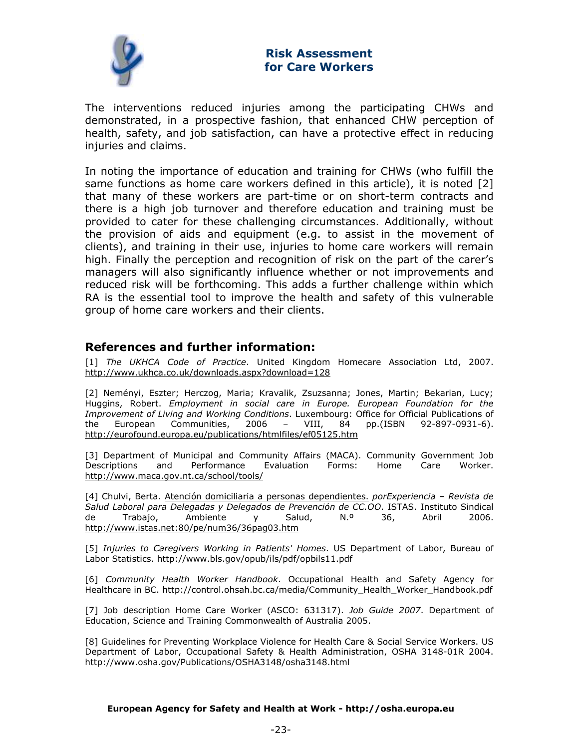

The interventions reduced injuries among the participating CHWs and demonstrated, in a prospective fashion, that enhanced CHW perception of health, safety, and job satisfaction, can have a protective effect in reducing injuries and claims.

In noting the importance of education and training for CHWs (who fulfill the same functions as home care workers defined in this article), it is noted [2] that many of these workers are part-time or on short-term contracts and there is a high job turnover and therefore education and training must be provided to cater for these challenging circumstances. Additionally, without the provision of aids and equipment (e.g. to assist in the movement of clients), and training in their use, injuries to home care workers will remain high. Finally the perception and recognition of risk on the part of the carer's managers will also significantly influence whether or not improvements and reduced risk will be forthcoming. This adds a further challenge within which RA is the essential tool to improve the health and safety of this vulnerable group of home care workers and their clients.

## References and further information:

[1] The UKHCA Code of Practice. United Kingdom Homecare Association Ltd, 2007. http://www.ukhca.co.uk/downloads.aspx?download=128

[2] Neményi, Eszter; Herczog, Maria; Kravalik, Zsuzsanna; Jones, Martin; Bekarian, Lucy; Huggins, Robert. Employment in social care in Europe. European Foundation for the Improvement of Living and Working Conditions. Luxembourg: Office for Official Publications of the European Communities, 2006 – VIII, 84 pp.(ISBN 92-897-0931-6). http://eurofound.europa.eu/publications/htmlfiles/ef05125.htm

[3] Department of Municipal and Community Affairs (MACA). Community Government Job Descriptions and Performance Evaluation Forms: Home Care Worker. http://www.maca.gov.nt.ca/school/tools/

[4] Chulvi, Berta. Atención domiciliaria a personas dependientes. porExperiencia – Revista de Salud Laboral para Delegadas y Delegados de Prevención de CC.OO. ISTAS. Instituto Sindical de Trabajo, Ambiente y Salud, N.º 36, Abril 2006. http://www.istas.net:80/pe/num36/36pag03.htm

[5] Injuries to Caregivers Working in Patients' Homes. US Department of Labor, Bureau of Labor Statistics. http://www.bls.gov/opub/ils/pdf/opbils11.pdf

[6] Community Health Worker Handbook. Occupational Health and Safety Agency for Healthcare in BC. http://control.ohsah.bc.ca/media/Community\_Health\_Worker\_Handbook.pdf

[7] Job description Home Care Worker (ASCO: 631317). Job Guide 2007. Department of Education, Science and Training Commonwealth of Australia 2005.

[8] Guidelines for Preventing Workplace Violence for Health Care & Social Service Workers. US Department of Labor, Occupational Safety & Health Administration, OSHA 3148-01R 2004. http://www.osha.gov/Publications/OSHA3148/osha3148.html

#### European Agency for Safety and Health at Work - http://osha.europa.eu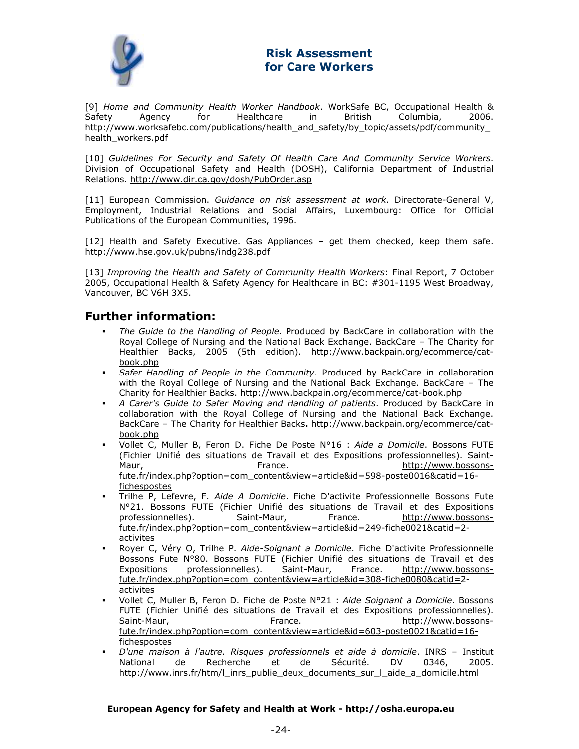

[9] Home and Community Health Worker Handbook. WorkSafe BC, Occupational Health & Safety Agency for Healthcare in British Columbia, 2006. http://www.worksafebc.com/publications/health\_and\_safety/by\_topic/assets/pdf/community\_ health\_workers.pdf

[10] Guidelines For Security and Safety Of Health Care And Community Service Workers. Division of Occupational Safety and Health (DOSH), California Department of Industrial Relations. http://www.dir.ca.gov/dosh/PubOrder.asp

[11] European Commission. Guidance on risk assessment at work. Directorate-General V, Employment, Industrial Relations and Social Affairs, Luxembourg: Office for Official Publications of the European Communities, 1996.

[12] Health and Safety Executive. Gas Appliances – get them checked, keep them safe. http://www.hse.gov.uk/pubns/indg238.pdf

[13] Improving the Health and Safety of Community Health Workers: Final Report, 7 October 2005, Occupational Health & Safety Agency for Healthcare in BC: #301-1195 West Broadway, Vancouver, BC V6H 3X5.

## Further information:

- The Guide to the Handling of People. Produced by BackCare in collaboration with the Royal College of Nursing and the National Back Exchange. BackCare – The Charity for Healthier Backs, 2005 (5th edition). http://www.backpain.org/ecommerce/catbook.php
- Safer Handling of People in the Community. Produced by BackCare in collaboration with the Royal College of Nursing and the National Back Exchange. BackCare – The Charity for Healthier Backs. http://www.backpain.org/ecommerce/cat-book.php
- A Carer's Guide to Safer Moving and Handling of patients. Produced by BackCare in collaboration with the Royal College of Nursing and the National Back Exchange. BackCare – The Charity for Healthier Backs. http://www.backpain.org/ecommerce/catbook.php
- Vollet C, Muller B, Feron D. Fiche De Poste N°16 : Aide a Domicile. Bossons FUTE (Fichier Unifié des situations de Travail et des Expositions professionnelles). Saint-Maur, The Communication of the France. The Communication of the Maurities of the Maurician of the France. fute.fr/index.php?option=com\_content&view=article&id=598-poste0016&catid=16 fichespostes
- Trilhe P, Lefevre, F. Aide A Domicile. Fiche D'activite Professionnelle Bossons Fute N°21. Bossons FUTE (Fichier Unifié des situations de Travail et des Expositions professionnelles). Saint-Maur, France. http://www.bossonsfute.fr/index.php?option=com\_content&view=article&id=249-fiche0021&catid=2 activites
- Royer C, Véry O, Trilhe P. Aide-Soignant a Domicile. Fiche D'activite Professionnelle Bossons Fute N°80. Bossons FUTE (Fichier Unifié des situations de Travail et des Expositions professionnelles). Saint-Maur, France. http://www.bossonsfute.fr/index.php?option=com\_content&view=article&id=308-fiche0080&catid=2 activites
- Vollet C, Muller B, Feron D. Fiche de Poste N°21 : Aide Soignant a Domicile. Bossons FUTE (Fichier Unifié des situations de Travail et des Expositions professionnelles). Saint-Maur, The Communication of the France. The Communication of the Music Science of the Music Science of the Music Science of the Music Science of the Music Science of the Music Science of the Music Science of the Music fute.fr/index.php?option=com\_content&view=article&id=603-poste0021&catid=16 fichespostes
- D'une maison à l'autre. Risques professionnels et aide à domicile. INRS Institut National de Recherche et de Sécurité. DV 0346, 2005. http://www.inrs.fr/htm/l\_inrs\_publie\_deux\_documents\_sur\_l\_aide\_a\_domicile.html

#### European Agency for Safety and Health at Work - http://osha.europa.eu